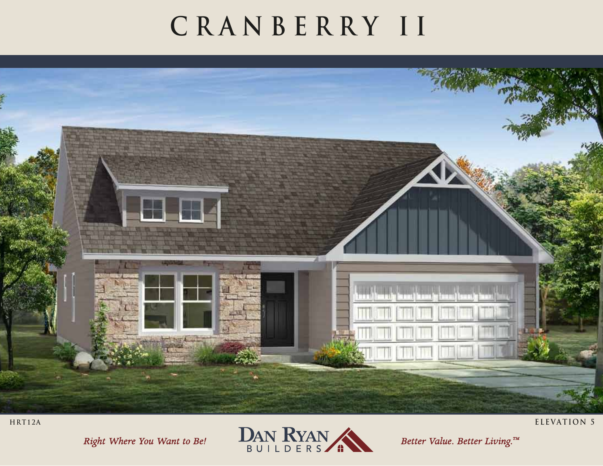## **CRANBERRY II**



Right Where You Want to Be!



Better Value. Better Living.™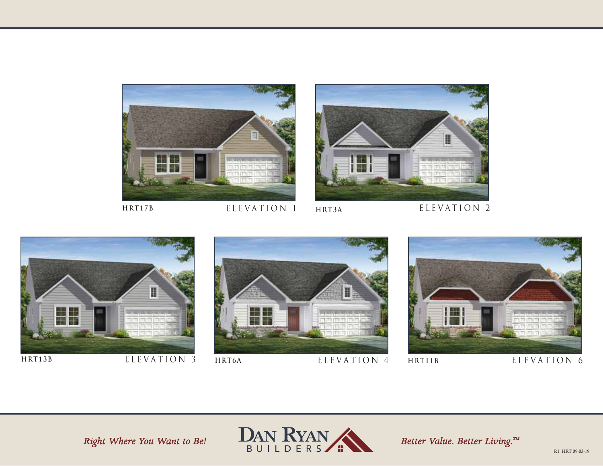



ELEVATION 1 **HRT17B HRT3A**





ELEVATION 3





HRT11B ELEVATION 6

Right Where You Want to Be!



Better Value. Better Living.™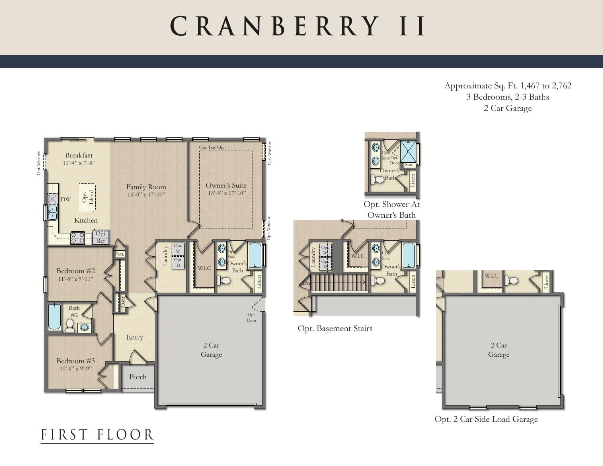## **CRANBERRY II**

Approximate Sq. Ft. 1,467 to 2,762 3 Bedrooms, 2-3 Baths 2 Car Garage







Opt. 2 Car Side Load Garage

## FIRST FLOOR